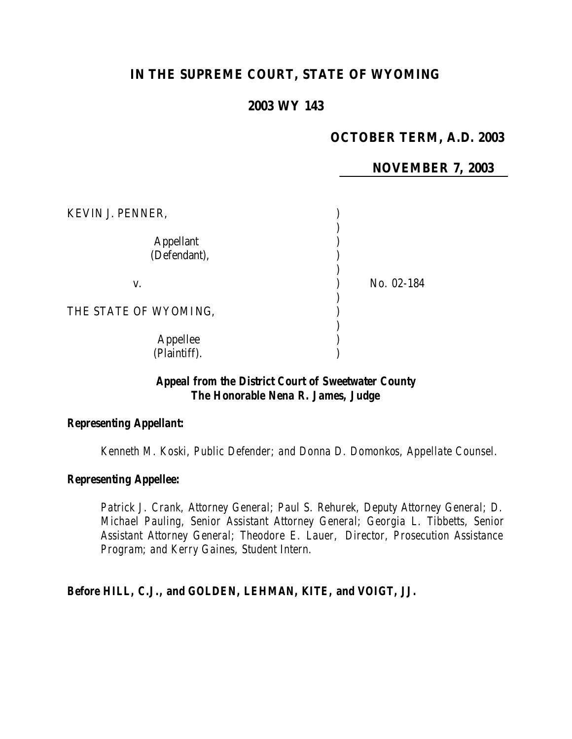# **IN THE SUPREME COURT, STATE OF WYOMING**

### **2003 WY 143**

### **OCTOBER TERM, A.D. 2003**

#### **NOVEMBER 7, 2003**

| KEVIN J. PENNER,                 |            |
|----------------------------------|------------|
| <b>Appellant</b><br>(Defendant), |            |
| V.                               | No. 02-184 |
| THE STATE OF WYOMING,            |            |
| Appellee<br>(Plaintiff).         |            |

### *Appeal from the District Court of Sweetwater County The Honorable Nena R. James, Judge*

#### *Representing Appellant:*

*Kenneth M. Koski, Public Defender; and Donna D. Domonkos, Appellate Counsel.*

### *Representing Appellee:*

*Patrick J. Crank, Attorney General; Paul S. Rehurek, Deputy Attorney General; D. Michael Pauling, Senior Assistant Attorney General; Georgia L. Tibbetts, Senior Assistant Attorney General; Theodore E. Lauer, Director, Prosecution Assistance Program; and Kerry Gaines, Student Intern.*

*Before HILL, C.J., and GOLDEN, LEHMAN, KITE, and VOIGT, JJ.*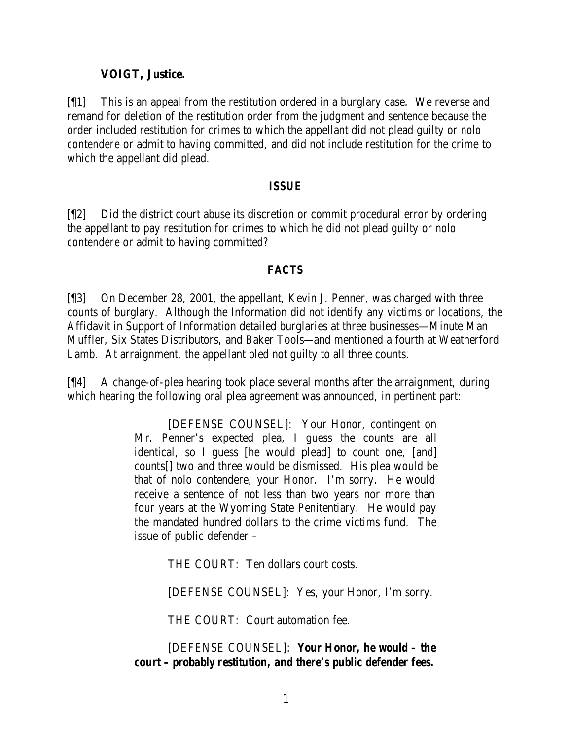### **VOIGT, Justice.**

[¶1] This is an appeal from the restitution ordered in a burglary case. We reverse and remand for deletion of the restitution order from the judgment and sentence because the order included restitution for crimes to which the appellant did not plead guilty or *nolo contendere* or admit to having committed, and did not include restitution for the crime to which the appellant did plead.

#### *ISSUE*

[¶2] Did the district court abuse its discretion or commit procedural error by ordering the appellant to pay restitution for crimes to which he did not plead guilty or *nolo contendere* or admit to having committed?

#### *FACTS*

[¶3] On December 28, 2001, the appellant, Kevin J. Penner, was charged with three counts of burglary. Although the Information did not identify any victims or locations, the Affidavit in Support of Information detailed burglaries at three businesses—Minute Man Muffler, Six States Distributors, and Baker Tools—and mentioned a fourth at Weatherford Lamb. At arraignment, the appellant pled not guilty to all three counts.

[¶4] A change-of-plea hearing took place several months after the arraignment, during which hearing the following oral plea agreement was announced, in pertinent part:

> [DEFENSE COUNSEL]: Your Honor, contingent on Mr. Penner's expected plea, I guess the counts are all identical, so I guess [he would plead] to count one, [and] counts[] two and three would be dismissed. His plea would be that of nolo contendere, your Honor. I'm sorry. He would receive a sentence of not less than two years nor more than four years at the Wyoming State Penitentiary. He would pay the mandated hundred dollars to the crime victims fund. The issue of public defender –

> > THE COURT: Ten dollars court costs.

[DEFENSE COUNSEL]: Yes, your Honor, I'm sorry.

THE COURT: Court automation fee.

[DEFENSE COUNSEL]: *Your Honor, he would – the court – probably restitution, and there's public defender fees.*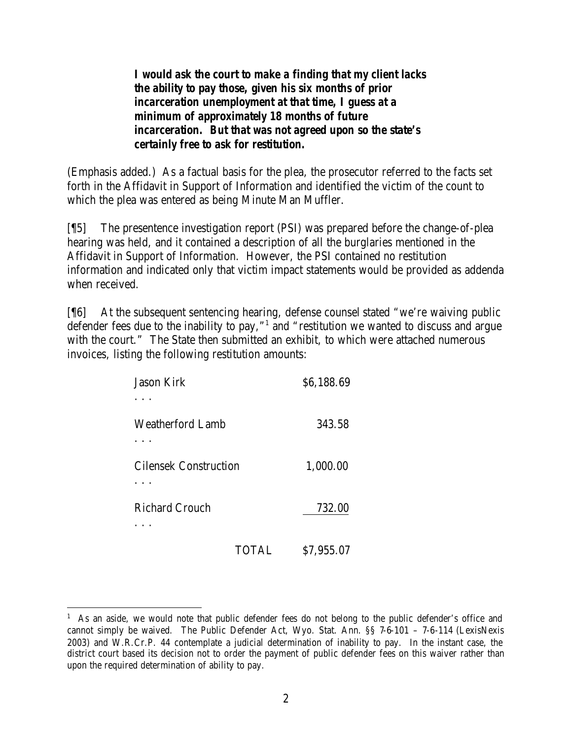*I would ask the court to make a finding that my client lacks the ability to pay those, given his six months of prior incarceration unemployment at that time, I guess at a minimum of approximately 18 months of future incarceration. But that was not agreed upon so the state's certainly free to ask for restitution.*

(Emphasis added.) As a factual basis for the plea, the prosecutor referred to the facts set forth in the Affidavit in Support of Information and identified the victim of the count to which the plea was entered as being Minute Man Muffler.

[¶5] The presentence investigation report (PSI) was prepared before the change-of-plea hearing was held, and it contained a description of all the burglaries mentioned in the Affidavit in Support of Information. However, the PSI contained no restitution information and indicated only that victim impact statements would be provided as addenda when received.

[¶6] At the subsequent sentencing hearing, defense counsel stated "we're waiving public defender fees due to the inability to pay,"<sup>1</sup> and "restitution we wanted to discuss and argue with the court." The State then submitted an exhibit, to which were attached numerous invoices, listing the following restitution amounts:

| Jason Kirk                   |       | \$6,188.69 |
|------------------------------|-------|------------|
| <b>Weatherford Lamb</b>      |       | 343.58     |
| <b>Cilensek Construction</b> |       | 1,000.00   |
| <b>Richard Crouch</b>        |       | 732.00     |
|                              | TOTAL | \$7,955.07 |

<sup>&</sup>lt;sup>1</sup> As an aside, we would note that public defender fees do not belong to the public defender's office and cannot simply be waived. The Public Defender Act, Wyo. Stat. Ann. §§ 7-6-101 – 7-6-114 (LexisNexis 2003) and W.R.Cr.P. 44 contemplate a judicial determination of inability to pay. In the instant case, the district court based its decision not to order the payment of public defender fees on this waiver rather than upon the required determination of ability to pay.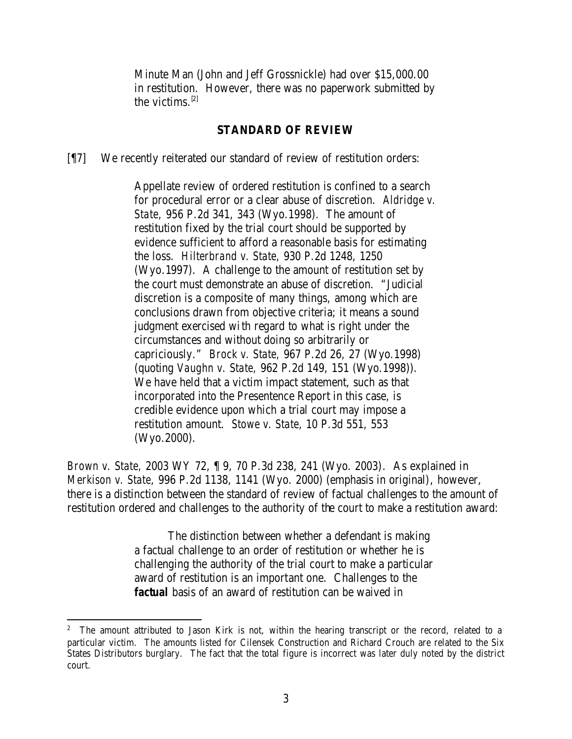Minute Man (John and Jeff Grossnickle) had over \$15,000.00 in restitution. However, there was no paperwork submitted by the victims. $[2]$ 

#### **STANDARD OF REVIEW**

[¶7] We recently reiterated our standard of review of restitution orders:

Appellate review of ordered restitution is confined to a search for procedural error or a clear abuse of discretion. *Aldridge v. State,* 956 P.2d 341, 343 (Wyo.1998). The amount of restitution fixed by the trial court should be supported by evidence sufficient to afford a reasonable basis for estimating the loss. *Hilterbrand v. State,* 930 P.2d 1248, 1250 (Wyo.1997). A challenge to the amount of restitution set by the court must demonstrate an abuse of discretion. "Judicial discretion is a composite of many things, among which are conclusions drawn from objective criteria; it means a sound judgment exercised with regard to what is right under the circumstances and without doing so arbitrarily or capriciously." *Brock v. State,* 967 P.2d 26, 27 (Wyo.1998) (quoting *Vaughn v. State,* 962 P.2d 149, 151 (Wyo.1998)). We have held that a victim impact statement, such as that incorporated into the Presentence Report in this case, is credible evidence upon which a trial court may impose a restitution amount. *Stowe v. State,* 10 P.3d 551, 553 (Wyo.2000).

*Brown v. State,* 2003 WY 72, ¶ 9, 70 P.3d 238, 241 (Wyo. 2003). As explained in *Merkison v. State,* 996 P.2d 1138, 1141 (Wyo. 2000) (emphasis in original), however, there is a distinction between the standard of review of factual challenges to the amount of restitution ordered and challenges to the authority of the court to make a restitution award:

> The distinction between whether a defendant is making a factual challenge to an order of restitution or whether he is challenging the authority of the trial court to make a particular award of restitution is an important one. Challenges to the *factual* basis of an award of restitution can be waived in

<sup>2</sup> The amount attributed to Jason Kirk is not, within the hearing transcript or the record, related to a particular victim. The amounts listed for Cilensek Construction and Richard Crouch are related to the Six States Distributors burglary. The fact that the total figure is incorrect was later duly noted by the district court.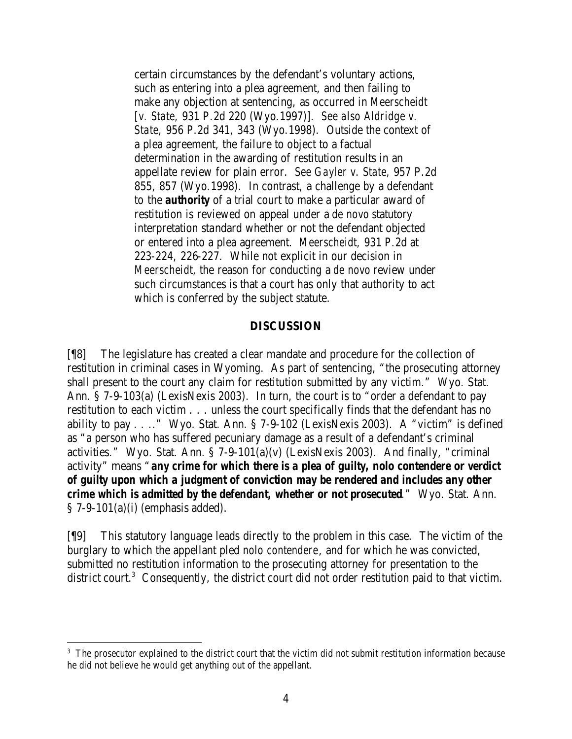certain circumstances by the defendant's voluntary actions, such as entering into a plea agreement, and then failing to make any objection at sentencing, as occurred in *Meerscheidt* [*v. State,* 931 P.2d 220 (Wyo.1997)]. *See also Aldridge v. State,* 956 P.2d 341, 343 (Wyo.1998). Outside the context of a plea agreement, the failure to object to a factual determination in the awarding of restitution results in an appellate review for plain error. *See Gayler v. State,* 957 P.2d 855, 857 (Wyo.1998). In contrast, a challenge by a defendant to the *authority* of a trial court to make a particular award of restitution is reviewed on appeal under a *de novo* statutory interpretation standard whether or not the defendant objected or entered into a plea agreement. *Meerscheidt,* 931 P.2d at 223-224, 226-227. While not explicit in our decision in *Meerscheidt,* the reason for conducting a *de novo* review under such circumstances is that a court has only that authority to act which is conferred by the subject statute.

#### **DISCUSSION**

[¶8] The legislature has created a clear mandate and procedure for the collection of restitution in criminal cases in Wyoming. As part of sentencing, "the prosecuting attorney shall present to the court any claim for restitution submitted by any victim." Wyo. Stat. Ann. § 7-9-103(a) (LexisNexis 2003). In turn, the court is to "order a defendant to pay restitution to each victim . . . unless the court specifically finds that the defendant has no ability to pay . . .." Wyo. Stat. Ann. § 7-9-102 (LexisNexis 2003). A "victim" is defined as "a person who has suffered pecuniary damage as a result of a defendant's criminal activities." Wyo. Stat. Ann. § 7-9-101(a)(v) (LexisNexis 2003). And finally, "criminal activity" means "*any crime for which there is a plea of guilty, nolo contendere or verdict of guilty upon which a judgment of conviction may be rendered and includes any other crime which is admitted by the defendant, whether or not prosecuted*." Wyo. Stat. Ann. § 7-9-101(a)(i) (emphasis added).

[¶9] This statutory language leads directly to the problem in this case. The victim of the burglary to which the appellant pled *nolo contendere*, and for which he was convicted, submitted no restitution information to the prosecuting attorney for presentation to the district court.<sup>3</sup> Consequently, the district court did not order restitution paid to that victim.

<sup>&</sup>lt;sup>3</sup> The prosecutor explained to the district court that the victim did not submit restitution information because he did not believe he would get anything out of the appellant.